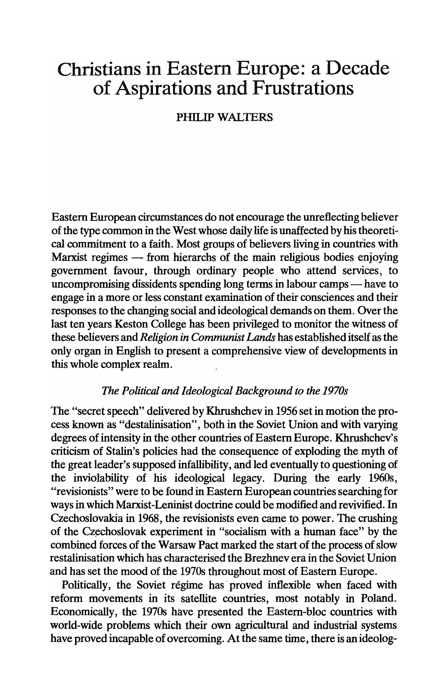# Christians in Eastern Europe: a Decade of Aspirations and Frustrations

### PHILIP WALTERS

Eastern European circumstances do not encourage the unreflecting believer of the type common in the West whose daily life is unaffected by his theoretical commitment to a faith. Most groups of believers living in countries with Marxist regimes  $-$  from hierarchs of the main religious bodies enjoying government favour, through ordinary people who attend services, to uncompromising dissidents spending long terms in labour camps — have to engage in a more or less constant examination of their consciences and their responses to the changing social and ideological demands on them. Over the last ten years Keston College has been privileged to monitor the witness of these believers and *Religion in Communist Lands* has established itself as the only organ in English to present a comprehensive view of developments in this whole complex realm.

#### *The Political and Ideological Background to the 1970s*

The "secret speech" delivered by Khrushchev in 1956 set in motion the process known as "destalinisation", both in the Soviet Union and with' varying degrees of intensity in the other countries of Eastern Europe. Khrushchev's criticism of Stalin's policies had the consequence of exploding the myth of the great leader's supposed infallibility, and led eventually to questioning of the inviolability of his ideological legacy. During the early 1960s, "revisionists" were to be found in Eastern European countries searching for ways in which Marxist -Leninist doctrine could be modified and revivified. In Czechoslovakia in 1968, the revisionists even came to power. The crushing of the Czechoslovak experiment in "socialism with a human face" by the combined forces of the Warsaw Pact marked the start of the process of slow restalinisation which has characterised the Brezhnev era in the Soviet Union and has set the mood of the 1970s throughout most of Eastern Europe.

Politically, the Soviet regime has proved inflexible when faced with reform movements in its satellite countries, most notably in Poland. Economically, the 1970s have presented the Eastern-bloc countries with world-wide problems which their own agricultural and industrial systems have proved incapable of overcoming. At the same time, there is anideolog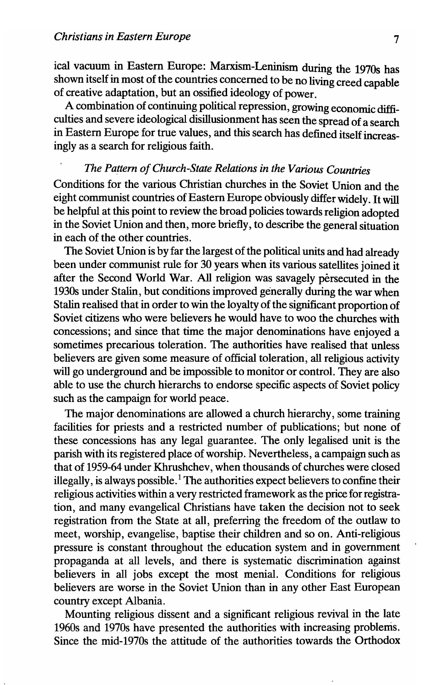ical vacuum in Eastern Europe: Marxism-Leninism during the 1970s has shown itself in most of the countries concerned to be no living creed capable of creative adaptation, but an ossified ideology of power.

A combination of continuing political repression, growing economic difficulties and severe ideological disillusionment has seen the spread of a search in Eastern Europe for true values, and this search has defined itself increasingly as a search for religious faith.

## *The Pattern of Church-State Relations in the Various Countries*  Conditions for the various Christian churches in the Soviet Union and the eight communist countries of Eastern Europe obviously differ widely. It will be helpful at this point to review the broad policies towards religion adopted in the Soviet Union and then, more briefly, to describe the general situation in each of the other countries.

The Soviet Union is by far the largest of the political units and had already been under communist rule for 30 years when its various satellites joined it after the Second World War. All religion was savagely persecuted in the 1930s under Stalin, but conditions improved generally during the war when Stalin realised that in order to win the loyalty of the significant proportion of Soviet citizens who were believers he would have to woo the churches with concessions; and since that time the major denominations have enjoyed a sometimes precarious toleration. The authorities have realised that unless believers are given some measure of official toleration, all religious activity will go underground and be impossible to monitor or control. They are also able to use the church hierarchs to endorse specific aspects of Soviet policy such as the campaign for world peace.

The major denominations are allowed a church hierarchy, some training facilities for priests and a restricted number of publications; but none of these concessions has any legal guarantee. The only legalised unit is the parish with its registered place of worship. Nevertheless, a campaign such as that of 1959-64 under Khrushchev, when thousands of churches were closed illegally, is always possible.<sup>1</sup> The authorities expect believers to confine their religious activities within a very restricted framework as the price for registration, and many evangelical Christians have taken the decision not to seek registration from the State at all, preferring the freedom of the outlaw to meet, worship, evangelise, baptise their children and so on. Anti-religious pressure is constant throughout the education system and in government propaganda at all levels, and there is systematic discrimination against believers in all jobs except the most menial. Conditions for religious believers are worse in the Soviet Union than in any other East European country except Albania.

Mounting religious dissent and a significant religious revival in the late 1960s and 1970s have presented the authorities with increasing problems. Since the mid-1970s the attitude of the authorities towards the Orthodox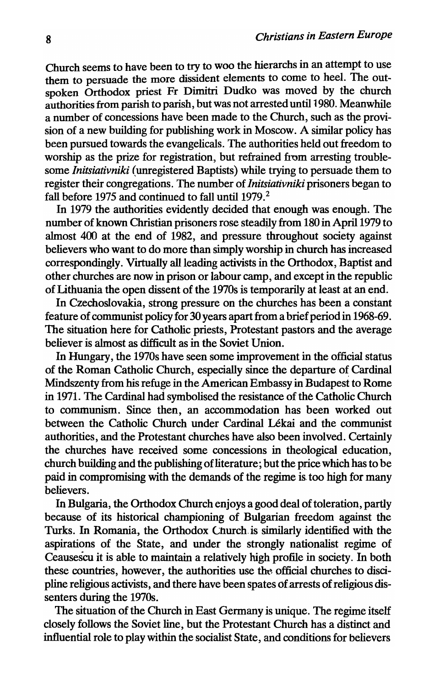Church seems to have been to try to woo the hierarchs in an attempt to use them to persuade the more dissident elements to come to heel. The outspoken Orthodox priest *FT* Dimitri Dudko was moved by the church authorities from parish to parish, butwas not arrested until 1980. Meanwhile a number of concessions have been made to the Church, such as the provision of a new building for publishing work in Moscow. A similar policy has been pursued towards the evangelicals. The authorities held out freedom to worship as the prize for registration, but refrained from arresting troublesome *Initsiativniki* (unregistered Baptists) while trying to persuade them to register their congregations. The number of *Initsiativniki* prisoners began to fall before 1975 and continued to fall until 1979.<sup>2</sup>

In 1979 the authorities evidently decided that enough was enough. The number of known Christian prisoners rose steadily from 180 in April 1979 to almost 400 at the end of 1982, and pressure throughout society against believers who want to do more than simply worship in church has increased correspondingly. Virtually all leading activists in the Orthodox, Baptist and other churches are now in prison or labour camp, and except in the republic of Lithuania the open dissent of the 1970s is temporarily at least at an end.

In Czechoslovakia, strong pressure on the churches has been a constant feature of communist policy for 30 years apart from a brief period in 1968-69. The situation here for Catholic priests, Protestant pastors and the average believer is almost as difficult as in the Soviet Union.

In Hungary, the 1970s have seen some improvement in the official status of the Roman Catholic Church, especially since the departure of Cardinal Mindszenty from his refuge in the American Embassy in Budapest to Rome in 1971. The Cardinal had symbolised the resistance of the Catholic Church to communism. Since then, an accommodation has been worked out between the Catholic Church under Cardinal Lékai and the communist authorities, and the Protestant churches have also been involved. Certainly the churches have received some concessions in theological education, church building and the publishing of literature; but the price which has to be paid in compromising with the demands of the regime is. too high for many believers.

In Bulgaria, the Orthodox Church enjoys a good deal of toleration, partly because of its historical championing of Bulgarian freedom against the Turks. In Romania, the Orthodox Cnurch is similarly identified with the aspirations of the State, and under the strongly nationalist regime of Ceausescu it is able to maintain a relatively high proffie in society. In both these countries, however, the authorities use the official churches to discipline religious activists, and there have been spates of arrests of religious dissenters during the 1970s.

The situation of the Church in East Germany is unique. The regime itself closely follows the Soviet line, but the Protestant Church has a distinct and influential role to play within the socialist State, and conditions for believers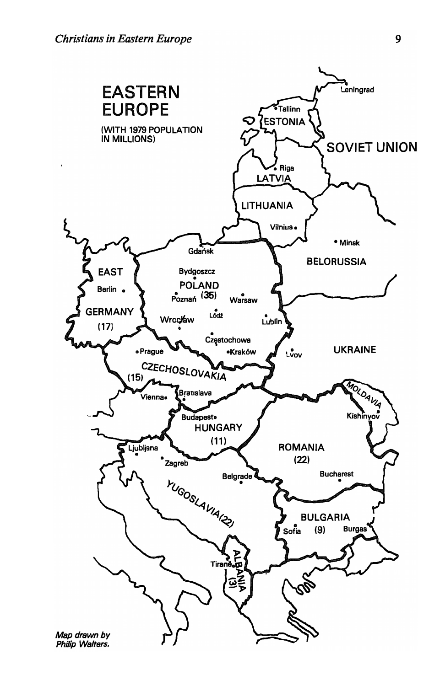

9

Philip Walters.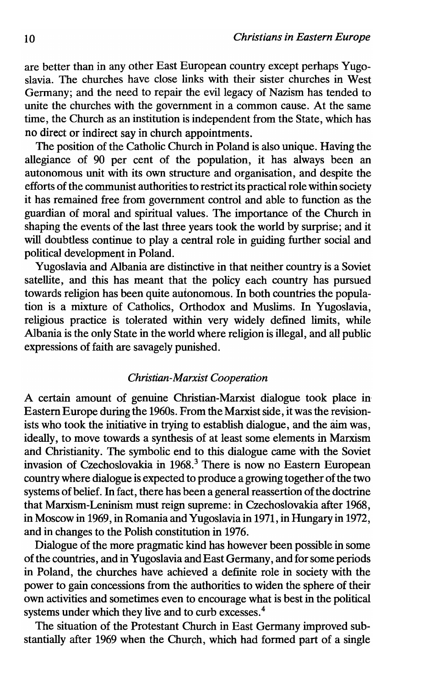are better than in any other East European country except perhaps Yugoslavia. The churches have close links with their sister churches in West Gennany; and the need to repair the evil legacy of Nazism has tended to unite the churches with the government in a common cause. At the same time, the Church as an institution is independent from the State, which has no direct or indirect say in church appointments.

The position of the Catholic Church in Poland is also unique. Having the allegiance of 90 per cent of the population, it has always been an autonomous unit with its own structure and organisation, and despite the efforts of the communist authorities to restrict its practical role within society it has remained free from government control and able to function as the guardian of moral and spiritual values. The importance of the Church in shaping the events of the last three years took the world by surprise; and it will doubtless continue to play a central role in guiding further social and political development in Poland.

Yugoslavia and Albania are distinctive in that neither country is a Soviet satellite, and this has meant that the policy each country has pursued towards religion has been quite autonomous. In both countries the population is a mixture of Catholics, Orthodox and Muslims. In Yugoslavia, religious practice is tolerated within very widely defined limits, while Albania is the only State in the world where religion is illegal, and all public expressions of faith are savagely punished.

#### *Christian-Marxist Cooperation*

A certain amount of genuine Christian-Marxist dialogue took place in Eastern Europe during the 1960s. From the Marxist side, it was the revisionists who took the initiative in trying to establish dialogue, and the aim was, ideally, to move towards a synthesis of at least some elements in Marxism and Christianity. The symbolic end to this dialogue came with the Soviet invasion of Czechoslovakia in 1968.3 There is now no Eastern European country where dialogue is expected to produce a growing together of the two systems of belief. In fact, there has been a general reassertion of the doctrine that Marxism-Leninism must reign supreme: in Czechoslovakia after 1968, in Moscow in 1969, in Romania and Yugoslavia in 1971, in Hungary in 1972, and in changes to the Polish constitution in 1976.

Dialogue of the more pragmatic kind has however been possible in some of the countries, and in Yugoslavia and East Germany, and for some periods in Poland, the churches have achieved a definite role in society with the power to gain concessions from the authorities to widen the sphere of their own activities and sometimes even to encourage what is best in the political systems under which they live and to curb excesses.<sup>4</sup>

The situation of the Protestant Church in East Germany improved substantially after 1969 when the Church, which had fonned part of a single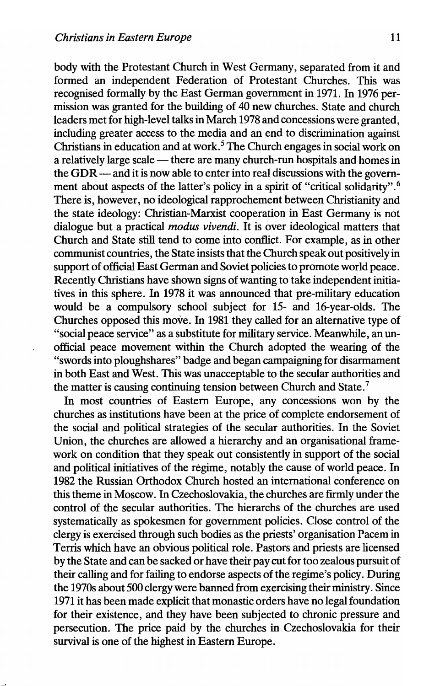body with the Protestant Church in West Germany, separated from it and formed an independent Federation of Protestant Churches. This was recognised formally by the East German government in 1971. In 1976 permission was granted for the building of 40 new churches. State and church leaders met for high-level talks in March 1978 and concessions were granted, including greater access to the media and an end to discrimination against Christians in education and at work.5 The Church engages in social work on a relatively large scale  $-$  there are many church-run hospitals and homes in the GDR — and it is now able to enter into real discussions with the government about aspects of the latter's policy in a spirit of "critical solidarity".<sup>6</sup> There is, however, no ideological rapprochement between Christianity and the state ideology: Christian-Marxist cooperation in East Germany is not dialogue but a practical *modus vivendi.* It is over ideological matters that Church and State still tend to come into conflict. For example, as in other communist countries, the State insists that the Church speak out positively in support of official East German and Soviet policies to promote world peace. Recently Christians have shown signs of wanting to take independent initiatives in this sphere. In 1978 itwas announced that pre-military education would be a compulsory school subject for 15- and 16-year-olds. The Churches opposed this move. **In** 1981 they called for an alternative type of "social peace service" as a substitute for military service. Meanwhile, an unofficial peace movement within the Church adopted the wearing of the "swords into ploughshares" badge and began campaigning for disarmament in both East and West. This was unacceptable to the secular authorities and the matter is causing continuing tension between Church and State.?

**In** most countries of Eastern Europe, any concessions won by the churches as institutions have been at the price of complete endorsement of the social and political strategies of the secular authorities. **In** the Soviet Union, the churches are allowed a hierarchy and an organisational framework on condition that they speak out consistently in support of the social and political initiatives of the regime, notably the cause of world peace. **In**  1982 the Russian Orthodox Church hosted an international conference on this theme in Moscow. **In** Czechoslovakia, the churches are firmly under the control of the secular authorities. The hierarchs of the churches are used systematically as spokesmen for government policies. Close control of the clergy is exercised through such bodies as the priests' organisation Pacem in Terris which have an obvious political role. Pastors and priests are licensed by the State and can be sacked or have their pay cut for too zealous pursuit of their calling and for failing to endorse aspects of the regime's policy. During the 1970s about 500 clergy were banned from exercising their ministry. Since 1971 it has been made explicit that monastic orders have no legal foundation for their existence, and they have been subjected to chronic pressure and persecution. The price paid by the churches in Czechoslovakia for their survival is one of the highest in Eastern Europe.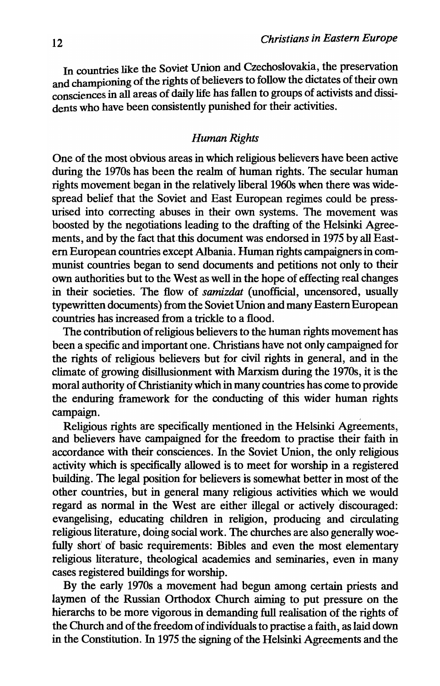In countries like the Soviet Union and Czechoslovakia, the preservation and championing of the rights of believers to follow the dictates of their own consciences in all areas of daily life has fallen to groups of activists and dissidents who have been consistently punished for their activities.

#### *Human Rights*

One of the most obvious areas in which religious believers have been active during the 1970s has been the realm of human rights. The secular human rights movement began in the relatively liberal 1960s when there was widespread belief that the Soviet and East European regimes could be pressurised into correcting abuses in their own systems. The movement was boosted by the negotiations leading to the drafting of the Helsinki Agreements, and by the fact that this document was endorsed in 1975 by all Eastern European countries except Albania. Human rights campaigners in communist countries began to send documents and petitions not only to their own authorities but to the West as well in the hope of effecting real changes in their societies. The flow of *samizdat* (unofficial, uncensored, usually typewritten documents) from the Soviet Union and many Eastern European countries has increased from a trickle to a flood.

The contribution of religious believers to the human rights movement has been a specific and important one. Christians have not only campaigned for the rights of religious believers but for civil rights in general, and in the climate of growing disillusionment with Marxism during the 1970s, it is the moral authority of Christianity which in many countries has come to provide the enduring framework for the conducting of this wider human rights campaign.

Religious rights are specifically mentioned in the Helsinki Agreements, and believers have campaigned for the freedom to practise their faith in accordance with their consciences. In the Soviet Union, the only religious activity which is specifically allowed is to meet for worship in a registered building. The legal position for believers is somewhat better in most of the other countries, but in general many religious activities which we would regard as normal in the West are either illegal or actively discouraged: evangelising, educating children in religion, producing and circulating religious literature, doing social work. The churches are also generally woefully short' of basic requirements: Bibles and even the most elementary religious literature, theological academies and seminaries, even in many cases registered buildings for worship.

By the early 1970s a movement had begun among certain priests and laymen of the Russian Orthodox Church aiming to put pressure on the hierarchs to be more vigorous in demanding full realisation of the rights of the Church and of the freedom of individuals to practise a faith, as laid down in the Constitution. In 1975 the signing of the Helsinki Agreements and the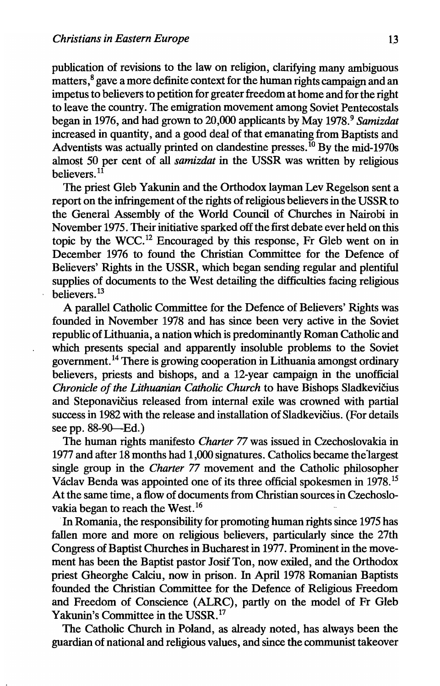publication of revisions to the law on religion, clarifying many ambiguous  $\frac{1}{2}$  matters,  $\frac{8}{3}$  gave a more definite context for the human rights campaign and an impetus to believers to petition for greater freedom at home and for the right to leave the country. The emigration movement among Soviet Pentecostals began in 1976, and had grown to 20,000 applicants by May 1978.<sup>9</sup> Samizdat increased in quantity, and a good deal of that emanating from Baptists and Adventists was actually printed on clandestine presses.  $^{10}$  By the mid-1970s almost 50 per cent of all *samizdat* in the USSR was written by religious believers.<sup>11</sup>

The priest Gleb Yakunin and the Orthodox layman Lev Regelson sent a report on the infringement of the rights of religious believers in the USSR to the General Assembly of the World Council of Churches in Nairobi in November 1975. Their initiative sparked off the first debate ever held on this topic by the WCC. 12 Encouraged by this response, Fr Gleb went on in December 1976 to found the Christian Committee for the Defence of Believers' Rights in the USSR, which began sending regular and plentiful supplies of documents to the West detailing the difficulties facing religious believers. 13

A parallel Catholic Committee for the Defence of Believers' Rights was founded in November 1978 and has since been very active in the Soviet republic of Lithuania, a nation which is predominantly Roman Catholic and which presents special and apparently insoluble problems to the Soviet government. 14 There is growing cooperation in Lithuania amongst ordinary believers, priests and bishops, and a 12-year campaign in the unofficial *Chronicle of the Lithuanian Catholic Church to have Bishops Sladkevičius* and Steponavičius released from internal exile was crowned with partial success in 1982 with the release and installation of Sladkevičius. (For details see pp. 88-90-Ed.)

The human rights manifesto *Charter* 77 was issued in Czechoslovakia in 1977 and after 18 months had 1,000 signatures. Catholics became the largest single group in the *Charter* 77 movement and the Catholic philosopher Václav Benda was appointed one of its three official spokesmen in 1978.<sup>15</sup> At the same time, a flow of documents from Christian sources in Czechoslovakia began to reach the West. <sup>16</sup>

. In Romania, the responsibility for promoting human rights since 1975 has fallen more and more on religious believers, particularly since the 27th Congress of Baptist Churches in Bucharest in 1977. Prominent in the movement has been the Baptist pastor Josif Ton, now exiled, and the Orthodox priest Gheorghe Calciu, now in prison. In April 1978 Romanian Baptists founded the Christian Committee for the Defence of Religious Freedom and Freedom of Conscience (ALRC), partly on the model of Fr Gleb Yakunin's Committee in the USSR.<sup>17</sup>

The Catholic Church in Poland, as already noted, has always been the guardian of national and religious values, and since the communist takeover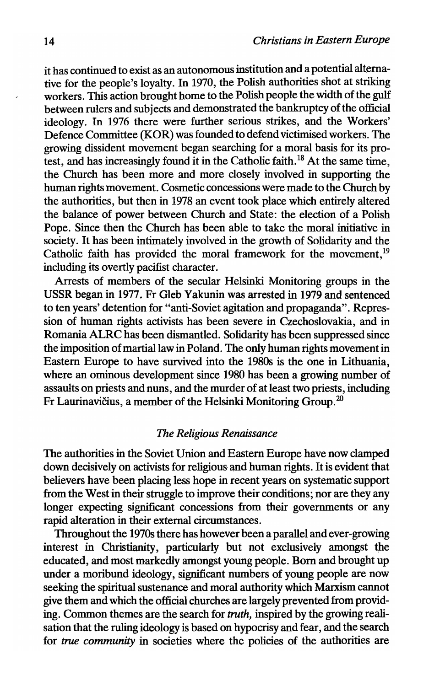it has continued to exist as an autonomous institution and a potential alternative for the people's loyalty. In 1970, the Polish authorities shot at striking workers. This action brought home to the Polish people the width of the gulf between rulers and subjects and demonstrated the bankruptcy of the official ideology. In 1976 there were further serious strikes, and the Workers' Defence Committee (KOR) was founded to defend victimised workers. The growing dissident movement began searching for a moral basis for its protest, and has increasingly found it in the Catholic faith.<sup>18</sup> At the same time, the Church has been more and more closely involved in supporting the human rights movement. Cosmetic concessions were made to the Church by the authorities, but then in 1978 an event took place which entirely altered the balance of power between Church and State: the election of a Polish Pope. Since then the Church has been able to take the moral initiative in society. It has been intimately involved in the growth of Solidarity and the Catholic faith has provided the moral framework for the movement.<sup>19</sup> including its overtly pacifist character.

Arrests of members of the secular Helsinki Monitoring groups in the USSR began in 1977. Fr Gleb Yakunin was arrested in 1979 and sentenced to ten years' detention for "anti-Soviet agitation and propaganda" . Repression of human rights activists has been severe in Czechoslovakia, and in Romania ALRC has been dismantled. Solidarity has been suppressed since the imposition of martial law in Poland. The only human rights movement in Eastern Europe to have survived into the 1980s is the one in Lithuania, where an ominous development since 1980 has been a growing number of assaults on priests and nuns, and the murder of at least two priests, including Fr Laurinavičius, a member of the Helsinki Monitoring Group.<sup>20</sup>

#### *The Religious Renaissance*

The authorities in the Soviet Union and Eastern Europe have now clamped down decisively on activists for religious and human rights. It is evident that believers have been placing less hope in recent years on systematic support from the West in their struggle to improve their conditions; nor are they any longer expecting significant concessions from their governments or any rapid alteration in their external circumstances.

Throughout the 1970s there has however been a parallel and ever-growing interest in Christianity, particularly but not exclusively amongst the educated, and most markedly amongst young people. Born and brought up under a moribund ideology, significant numbers of young people are now seeking the spiritual sustenance and moral authority which Marxism cannot give them and which the official churches are largely prevented from providing. Common themes are the search for *truth,* inspired by the growing realisation that the ruling ideology is based on hypocrisy and fear, and the search for *true community* in societies where the policies of the authorities are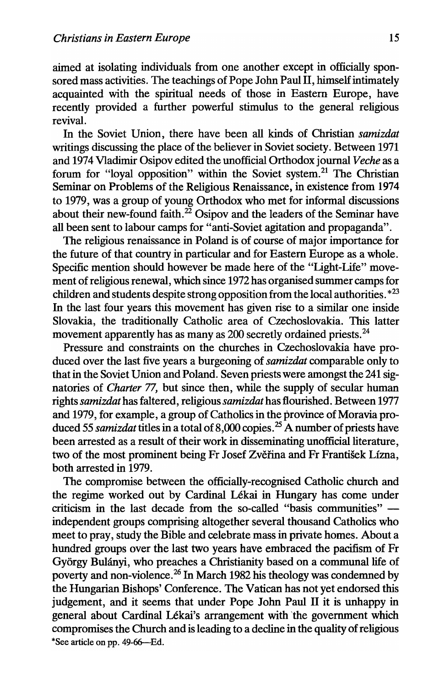aimed at isolating individuals from one another except in officially sponsored mass activities. The teachings of Pope John Paul II, himself intimately acquainted with the spiritual needs of those in Eastern Europe, have recently provided a further powerful stimulus to the general religious revival.

In the Soviet Union, there have been all kinds of Christian *samizdat*  writings discussing the place of the believer in Soviet society. Between 1971 and 1974 Vladimir Osipov edited the unofficial Orthodox journal *Veche* as a forum for "loyal opposition" within the Soviet system.<sup>21</sup> The Christian Seminar on Problems of the Religious Renaissance, in existence from 1974 to 1979, was a group of young Orthodox who met for informal discussions about their new-found faith.<sup>22</sup> Osipov and the leaders of the Seminar have all been sent to labour camps for "anti-Soviet agitation and propaganda".

The religious renaissance in Poland is of course of major importance for the future of that country in particular and for Eastern Europe as a whole. Specific mention should however be made here of the "Light-Life" movement of religious renewal, which since 1972 has organised summer camps for children and students despite strong opposition from the local authorities. \*23 In the last four years this movement has given rise to a similar one inside Slovakia, the traditionally Catholic area of Czechoslovakia. This latter movement apparently has as many as 200 secretly ordained priests.<sup>24</sup>

Pressure and constraints on the churches in Czechoslovakia have produced over the last five years a burgeoning of *samizdat* comparable only to that in the Soviet Union and Poland. Seven priests were amongst the 241 signatories of *Charter* 77, but since then, while the supply of secular human rights *samizdat* has faltered, religious *samizdat* has flourished. Between 1977 and 1979, for example, a group of Catholics in the province of Moravia produced 55 *samizdat* titles in a total of 8,000 copies. 25 A number of priests have been arrested as a result of their work in disseminating unofficial literature, two of the most prominent being Fr Josef Zvěřina and Fr František Lízna, both arrested in 1979.

The compromise between the officially-recognised Catholic church and the regime worked out by Cardinal Lekai in Hungary has come under criticism in the last decade from the so-called "basis communities" independent groups comprising altogether several thousand Catholics who meet to pray, study the Bible and celebrate mass in private homes. About a hundred groups over the last two years have embraced the pacifism of Fr Gyorgy Bulanyi, who preaches a Christianity based on a communal life of poverty and non-violence.26 In March 1982 his theology was condemned by the Hungarian Bishops' Conference. The Vatican has not yet endorsed this judgement, and it seems that under Pope John Paul II it is unhappy in general about Cardinal Lékai's arrangement with the government which compromises the Church and is leading to a decline in the quality of religious ·See article on pp. 49-66-Ed.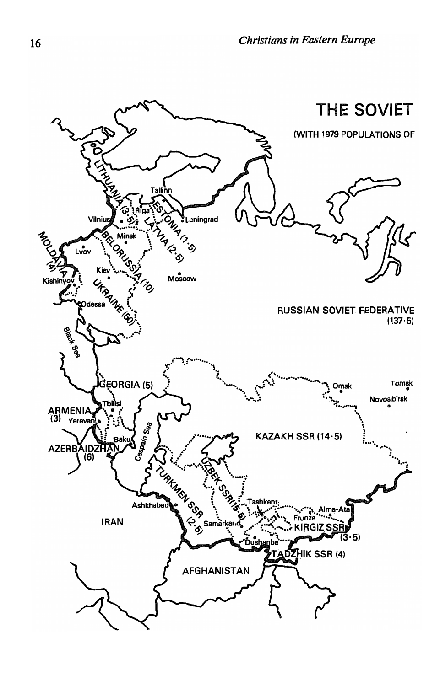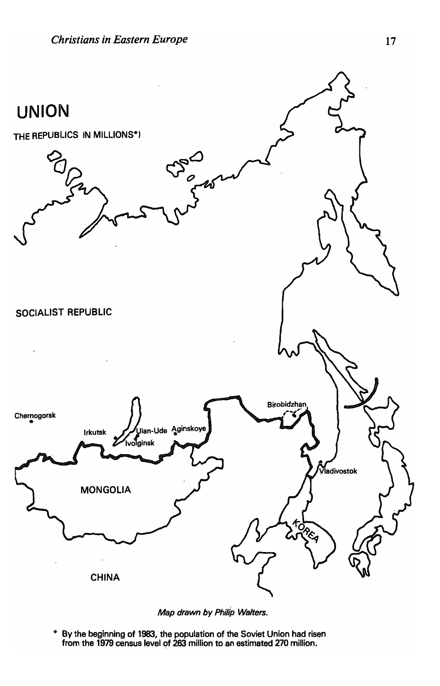

Map drawn by Philip Walters.

t By the beginning of 1983, the population of the Soviet Union had risen from the 1979 census level of 263 million to an estimated 270 million.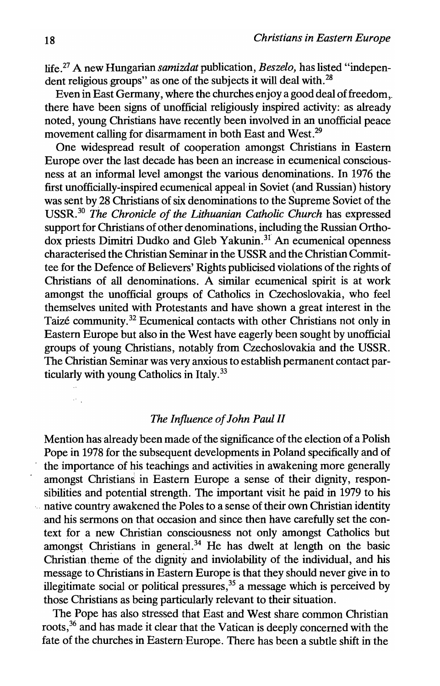life.27 A new Hungarian *samizdat* publication, *Beszelo,* has listed "independent religious groups" as one of the subjects it will deal with.<sup>28</sup>

Even in East Germany, where the churches enjoy a good deal of freedom. there have been signs of unofficial religiously inspired activity: as already noted, young Christians have recently been involved in an unofficial peace movement calling for disarmament in both East and West.<sup>29</sup>

One widespread result of cooperation amongst Christians in Eastern Europe over the last decade has been an increase in ecumenical consciousness at an informal level amongst the various denominations. In 1976 the first unofficially-inspired ecumenical appeal in Soviet (and Russian) history was sent by 28 Christians of six denominations to the Supreme Soviet of the USSR. 30 *The Chronicle of the Lithuanian Catholic Church* has expressed support for Christians of other denominations, including the Russian Orthodox priests Dimitri Dudko and Gleb Yakunin.<sup>31</sup> An ecumenical openness characterised the Christian Seminar in the USSR and the Christian Committee for the Defence of Believers' Rights publicised violations of the rights of Christians of all denominations. A similar ecumenical spirit is at work amongst the unofficial groups of Catholics in Czechoslovakia, who feel themselves united with Protestants and have shown a great interest in the Taizé community.<sup>32</sup> Ecumenical contacts with other Christians not only in Eastern Europe but also in the West have eagerly been sought by unofficial groups of young Christians, notably from Czechoslovakia and the USSR. The Christian Seminar was very anxious to establish pennanent contact particularly with young Catholics in Italy.<sup>33</sup>

#### *. The Influence of John Paul II*

Mention has already been made of the significance of the election of a Polish Pope in 1978 for the subsequent developments in Poland specifically and of the importance of his teachings and activities in awakening more generally amongst Christians in Eastern Europe a sense of their dignity, responsibilities and potential strength. The important visit he paid in 1979 to his ... native country awakened the Poles to a sense of their own Christian identity and his sermons on that occasion and since then have carefully set the context for a new Christian consciousness not only amongst Catholics but amongst Christians in general. $34$  He has dwelt at length on the basic Christian theme of the dignity and inviolability of the individual, and his message to Christians in Eastern Europe is that they should never give in to illegitimate social or political pressures,  $35$  a message which is perceived by those Christians as being particularly relevant to their situation.

The Pope has also stressed that East and West share common Christian roots,36 and has made it clear that the Vatican is deeply concerned with the fate of the churches in Eastern Europe. There has been a subtle shift in the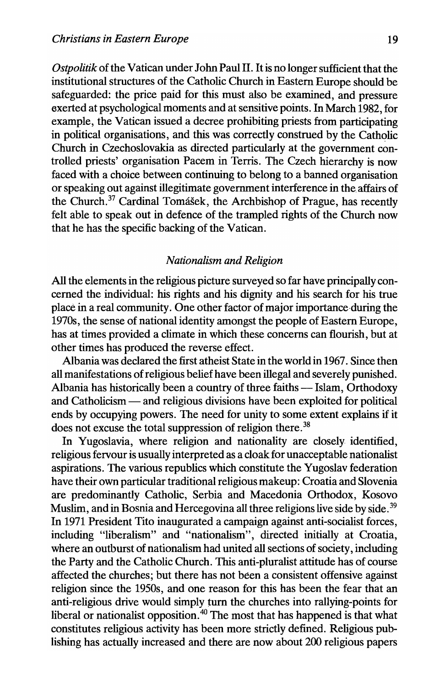*Ostpolitik* of the Vatican under John Paul II. It is no longer sufficient that the institutional structures of the Catholic Church in Eastern Europe should be safeguarded: the price paid for this must also be examined, and pressure exerted at psychological moments and at sensitive points. In March 1982, for example, the Vatican issued a decree prohibiting priests from participating in political organisations, and this was correctly construed by the Catholic Church in Czechoslovakia as directed particularly at the government controlled priests' organisation Pacem in Terris. The Czech hierarchy is now faced with a choice between continuing to belong to a banned organisation or speaking out against illegitimate government interference in the affairs of the Church.<sup>37</sup> Cardinal Tomášek, the Archbishop of Prague, has recently felt able to speak out in defence of the trampled rights of the Church now that he has the specific backing of the Vatican.

#### *Nationalism and Religion*

All the elements in the religious picture surveyed so far have principally concerned the individual: his rights and his dignity and his search for his true place in a real community. One other factor of major importance during the 1970s, the sense of national identity amongst the people of Eastern Europe, has at times provided a climate in which these concerns can flourish, but at other times has produced the reverse effect.

Albania was declared the first atheist State in the world in 1967. Since then all manifestations of religious belief have been illegal and severely punished. Albania has historically been a country of three faiths — Islam, Orthodoxy and Catholicism — and religious divisions have been exploited for political ends by occupying powers. The need for unity to some extent explains if it does not excuse the total suppression of religion there.<sup>38</sup>

In Yugoslavia, where religion and nationality are closely identified, religious fervour is usually interpreted as a cloak for unacceptable nationalist aspirations. The various republics which constitute the Yugoslav federation have their own particular traditional religious makeup: Croatia and Slovenia are predominantly Catholic, Serbia and Macedonia Orthodox, Kosovo Muslim, and in Bosnia and Hercegovina all three religions live side by side.<sup>39</sup> In 1971 President Tito inaugurated a campaign against anti-socialist forces, including "liberalism" and "nationalism", directed initially at Croatia, where an outburst of nationalism had united all sections of society, including the Party and the Catholic Church. This anti-pluralist attitude has of course affected the churches; but there has not been a consistent offensive against religion since the 1950s, and one reason for this has been the fear that an anti-religious drive would simply turn the churches into rallying-points for liberal or nationalist opposition.<sup>40</sup> The most that has happened is that what constitutes religious activity has been more strictly defined. Religious publishing has actually increased and there are now about 200 religious papers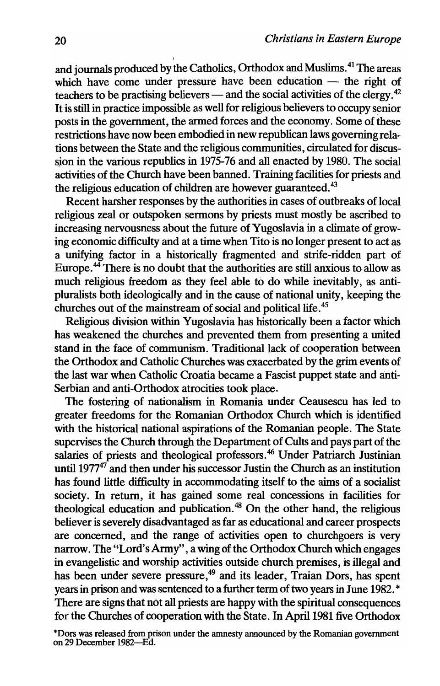and journals produced by the Catholics, Orthodox and Muslims. 41 The areas which have come under pressure have been education  $-$  the right of teachers to be practising believers — and the social activities of the clergy. $42$ It is still in practice impossible as well for religious believers to occupy senior posts in the government, the armed forces and the economy. Some of these restrictions have now been embodied in new republican laws governing relations between the State and the religious communities, circulated for discus-  $\sin$  in the various republics in 1975-76 and all enacted by 1980. The social activities of the Church have been banned. Training facilities for priests and the religious education of children are however guaranteed.<sup>43</sup>

,

Recent harsher responses by the authorities in cases of outbreaks of local religious zeal or outspoken sermons by priests must mostly be ascribed to increasing nervousness about the future of Yugoslavia in a climate of growing economic difficulty and at a time when Tito is no longer present to act as a unifying factor in a historically fragmented and strife-ridden part of Europe. $44$  There is no doubt that the authorities are still anxious to allow as much religious freedom as they feel able to do while inevitably, as antipluralists both ideologically and in the cause of national unity, keeping the churches out of the mainstream of social and political life.<sup>45</sup>

Religious division within Yugoslavia has historically been a factor which has weakened the churches and prevented them from presenting a united stand in the face of communism. Traditional lack of cooperation between the Orthodox and Catholic Churches was exacerbated by the grim events of the last war when Catholic Croatia became a Fascist puppet state and anti-Serbian and anti-Orthodox atrocities took place.

The fostering of nationalism in Romania under Ceausescu has led to greater freedoms for the Romanian Orthodox Church which is identified with the historical national aspirations of the Romanian people. The State supervises the Church through the Department of Cults and pays part of the salaries of priests and theological professors.<sup>46</sup> Under Patriarch Justinian until  $1977^{47}$  and then under his successor Justin the Church as an institution has found little difficulty in accommodating itself to the aims of a socialist society. In return, it has gained some real concessions in facilities for theological education and publication.<sup>48</sup> On the other hand, the religious believer is severely disadvantaged as far as educational and career prospects are concerned, and the range of activities open to churchgoers is very narrow. The "Lord's Army", a wing of the Orthodox Church which engages in evangelistic and worship activities outside church premises, is illegal and has been under severe pressure,<sup>49</sup> and its leader, Traian Dors, has spent years in prison and was sentenced to a further term of two years in June 1982. \* There are signs that not all priests are happy with the spiritual consequences for the Churches of cooperation with the State. In April 1981 five Orthodox

<sup>\*</sup>Dors was released from prison under the amnesty announced by the Romanian government on 29 December 1982-Ed. .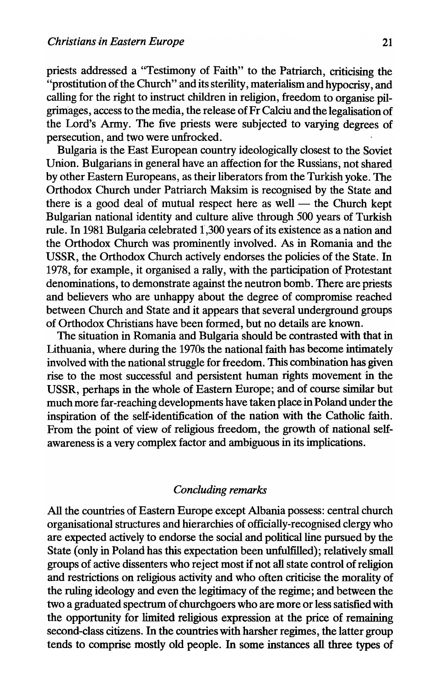priests addressed a "Testimony of Faith" to the Patriarch, criticising the "prostitution of the Church" and its sterility, materialism and hypocrisy, and calling for the right to instruct children in religion, freedom to organise pilgrimages, access to the media, the release ofFr Calciu and the legalisation of the Lord's Army. The five priests were subjected to varying degrees of persecution, and two were unfrocked.

Bulgaria is the East European country ideologically closest to the Soviet Union. Bulgarians in general have an affection for the Russians, not shared by other Eastern Europeans, as their liberators from the Turkish yoke. The Orthodox Church under Patriarch Maksim is recognised by the State and there is a good deal of mutual respect here as well  $-$  the Church kept Bulgarian national identity and culture alive through 500 years of Turkish rule. In 1981 Bulgaria celebrated 1,300 years of its existence as a nation and the Orthodox Church was prominently involved. As in Romania and the USSR, the Orthodox Church actively endorses the policies of the State. In 1978, for example, it organised a rally, with the participation of Protestant denominations, to demonstrate against the neutron bomb. There are priests and believers who are unhappy about the degree of compromise reached between Church and State and it appears that several underground groups of Orthodox Christians have been formed, but no details are known.

The situation in Romania and Bulgaria should be contrasted with that in Lithuania, where during the 1970s the national faith has become intimately involved with the national struggle for freedom. This combination has given rise to the most successful and persistent human rights movement in the USSR, perhaps in the whole of Eastern Europe; and of course similar but much more far-reaching developments have taken place in Poland under the inspiration of the self-identification of the nation with the Catholic faith. From the point of view of religious freedom, the growth of national selfawareness is a very complex factor and ambiguous in its implications.

#### *Concluding remarks*

All the countries of Eastern Europe except Albania possess: central church organisational structures and hierarchies of officially-recognised clergy who are expected actively to endorse the social and political line pursued by the State (only in Poland has this expectation been unfulfilled); relatively small groups of active dissenters who reject most if not all state control of religion and restrictions on religious activity and who often criticise the morality of the ruling ideology and even the legitimacy of the regime; and between the two a graduated spectrum of churchgoers who are more or less satisfied with the opportunity for limited religious expression at the price of remaining second-class citizens. In the countries with harsher regimes, the latter group tends to comprise mostly old people. In some instances all three types of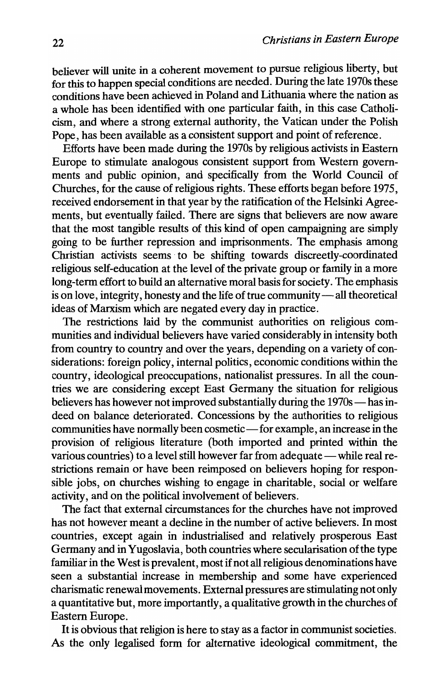believer will unite in a coherent movement to pursue religious liberty, but for this to happen special conditions are needed. During the late 1970s these conditions have been achieved in Poland and Lithuania where the nation as a whole has been identified with one particular faith, in this case Catholicism, and where a strong external authority, the Vatican under the Polish Pope, has been available as a consistent support and point of reference.

Efforts have been made during the 1970s by religious activists in Eastern Europe to stimulate analogous consistent support from Western governments and public opinion, and specifically from the World Council of Churches, for the cause of religious rights. These efforts began before 1975, received endorsement in that year by the ratification of the Helsinki Agreements, but eventually failed. There are signs that believers are now aware that the most tangible results of this kind of open campaigning are simply going to be further repression and imprisonments. The emphasis among Christian activists seems to be shifting towards discreetly-coordinated religious self-education at the level of the private group or family in a more long-term effort to build an alternative moral basis for society. The emphasis is on love, integrity, honesty and the life of true community — all theoretical ideas of Marxism which are negated every day in practice.

The restrictions laid by the communist authorities on religious communities and individual believers have varied considerably in intensity both from country to country and over the years, depending on a variety of considerations: foreign policy, internal politics, economic conditions within the country, ideological preoccupations, nationalist pressures. In all the countries we are considering except East Germany the situation for religious believers has however not improved substantially during the  $1970s$  - has indeed on balance deteriorated. Concessions by the authorities to religious communities have normally been cosmetic—for example, an increase in the provision of religious literature (both imported and printed within the various countries) to a level still however far from adequate — while real restrictions remain or have been reimposed on believers hoping for responsible jobs, on churches wishing to engage in charitable, social or welfare activity, and on the political involvement of believers.

The fact that external circumstances for the churches have not improved has not however meant a decline in the number of active believers. In most countries, except again in industrialised and relatively prosperous East Germany and in Yugoslavia, both countries where secularisation of the type familiar in the West is prevalent, most if not all religious denominations have seen a substantial increase in membership and some have experienced charismatic renewal movements. External pressures are stimulating not only a quantitative but, more importantly, a qualitative growth in the churches of Eastern Europe.

It is obvious that religion is here to stay as a factor in communist societies. As the only legalised form for alternative ideological commitment, the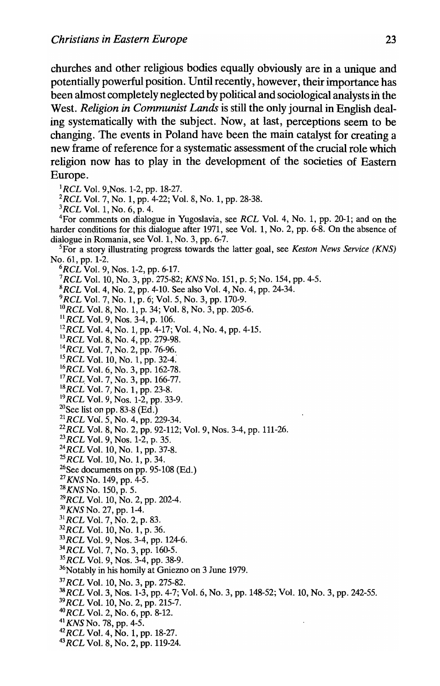churches and other religious bodies equally obviously are in a unique and potentially powerful position. Until recently, however, their importance has been almost completely neglected by political and sociological analysts in the West. *Religion in Communist Lands* is still the only journal in English dealing systematically with the subject. Now, at last, perceptions seem to be changing. The events in Poland have been the main catalyst for creating a new frame of reference for a systematic assessment of the crucial role which religion now has to play in the development of the societies of Eastern Europe.

<sup>1</sup>*RCL* Vol. 9, Nos. 1-2, pp. 18-27.

*2RCL* Vo!. 7, No. 1, pp. 4-22; Vo!. 8, No. 1, pp. 28-38.

3 *RCL* Vo!. 1, No. 6, p. 4.

4For comments on dialogue in Yugoslavia, see *RCL* Vo!. 4, No. 1, pp. 20-1; and on the harder conditions for this dialogue after 1971, see Vol. 1, No. 2, pp. 6-8. On the absence of dialogue in Romania, see Vol.  $1$ , No.  $3$ , pp.  $6-7$ .

5For a story illustrating progress towards the latter goal, see *Keston News Service (KNS)*  No. 61, pp. 1-2.

*6RCL* Vo!. 9, Nos. 1-2, pp. 6-17.

*7 RCL* Vo!. 10, No. 3, pp. 275-82; *KNS* No. 151, p. 5; No. 154, pp. 4-5.

*8RCL* Vo!. 4, No. 2, pp. 4-10. See also Vo!. 4, No. 4, pp. 24-34.

*9RCL* Vo!. 7, No. 1, p. 6; Vo!. 5, No. 3, pp. 170-9.

<sup>10</sup>RCL Vol. 8, No. 1, p. 34; Vol. 8, No. 3, pp. 205-6.

<sup>11</sup>*RCL* Vo!. 9, Nos. 3-4, p. 106.

*12RCL* Vo!. 4, No. 1, pp. 4-17; Vo!. 4, No. 4, pp. 4-15.

<sup>13</sup>*RCL* Vo!. 8, No. 4, pp. 279-98.

*14RCL* Vo!. 7, No. 2, pp. 76-96.

*15 RCL* Vo!. 10, No. 1, pp. 32-4:

*16RCL* Vo!. 6, No. 3, pp. 162-78.

<sup>17</sup>*RCLVoL7,* No. 3, pp. 166-77.

*18RCL* Vo!. 7, No. 1, pp. 23-8.

*19RCL* Vo!. 9, Nos. 1-2, pp. 33-9.

 $20$ See list on pp. 83-8 (Ed.)

<sup>21</sup>*RCL* Vo!. 5, No. 4, pp. 229-34.

*22RCL* Vo!. 8, No. 2, pp. 92-112; Vo!. 9, Nos. 3-4, pp. 111-26.

*23RCL* Vo!. 9, Nos; 1-2, p. 35.

*24RCL* Vo!. 10, No. 1, pp. 37-8.

*25 RCL* Vo!. 10, No. 1, p. 34.

 $26$ See documents on pp. 95-108 (Ed.)

*27 KNS* No. 149, pp. 4-5.

<sup>28</sup>*KNS* No. 150, p. 5.

*29 RCL* Vo!. 10, No. 2, pp. 202-4.

*3uKNSNo.* 27, pp. 1-4.

<sup>31</sup>*RCL* Vo!. 7, No. 2, p. 83.

*32RCL* Vo!. 10, No. 1, p. 36.

<sup>33</sup>*RCL* Vo!. 9, Nos. 3-4, pp. 124-6.

*34RCL* Vo!. 7, No. 3, pp. 160-5.

*35 RCL* Vo!. 9, Nos. 3-4, pp. 38-9.

<sup>36</sup>Notably in his homily at Gniezno on 3 June 1979.

*37 RCL* Vo!. 10, No. 3, pp. 275-82.

*38RCL* Vo!. 3, Nos. 1-3, pp. 4-7; Vo!. 6, No. 3, pp. 148-52; Vo!. 10, No. 3, pp. 242-55.

*39 RCL* Vo!. 10, No. 2, pp. 215-7.

*40RCL* Vo!. 2, No. 6, pp. 8-12.

*41 KNS* No. 78, pp. 4-5.

*42RCL* Vo!. 4, No. 1, pp. 18-27.

*43RCL* Vo!. 8, No. 2, pp. 119-24.